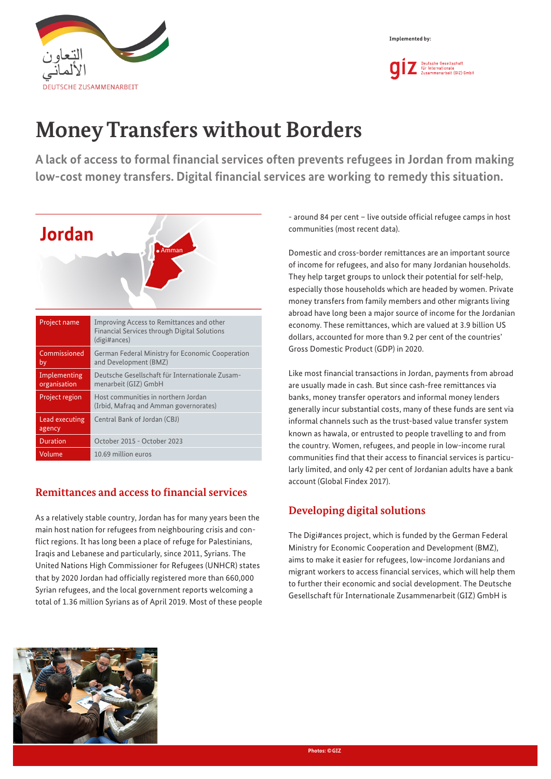



# **Money Transfers without Borders**

**A lack of access to formal financial services often prevents refugees in Jordan from making low-cost money transfers. Digital financial services are working to remedy this situation.**



# **Remittances and access to financial services**

As a relatively stable country, Jordan has for many years been the main host nation for refugees from neighbouring crisis and conflict regions. It has long been a place of refuge for Palestinians, Iraqis and Lebanese and particularly, since 2011, Syrians. The United Nations High Commissioner for Refugees (UNHCR) states that by 2020 Jordan had officially registered more than 660,000 Syrian refugees, and the local government reports welcoming a total of 1.36 million Syrians as of April 2019. Most of these people - around 84 per cent – live outside official refugee camps in host communities (most recent data).

Domestic and cross-border remittances are an important source of income for refugees, and also for many Jordanian households. They help target groups to unlock their potential for self-help, especially those households which are headed by women. Private money transfers from family members and other migrants living abroad have long been a major source of income for the Jordanian economy. These remittances, which are valued at 3.9 billion US dollars, accounted for more than 9.2 per cent of the countries' Gross Domestic Product (GDP) in 2020.

Like most financial transactions in Jordan, payments from abroad are usually made in cash. But since cash-free remittances via banks, money transfer operators and informal money lenders generally incur substantial costs, many of these funds are sent via informal channels such as the trust-based value transfer system known as hawala, or entrusted to people travelling to and from the country. Women, refugees, and people in low-income rural communities find that their access to financial services is particularly limited, and only 42 per cent of Jordanian adults have a bank account (Global Findex 2017).

# **Developing digital solutions**

The Digi#ances project, which is funded by the German Federal Ministry for Economic Cooperation and Development (BMZ), aims to make it easier for refugees, low-income Jordanians and migrant workers to access financial services, which will help them to further their economic and social development. The Deutsche Gesellschaft für Internationale Zusammenarbeit (GIZ) GmbH is